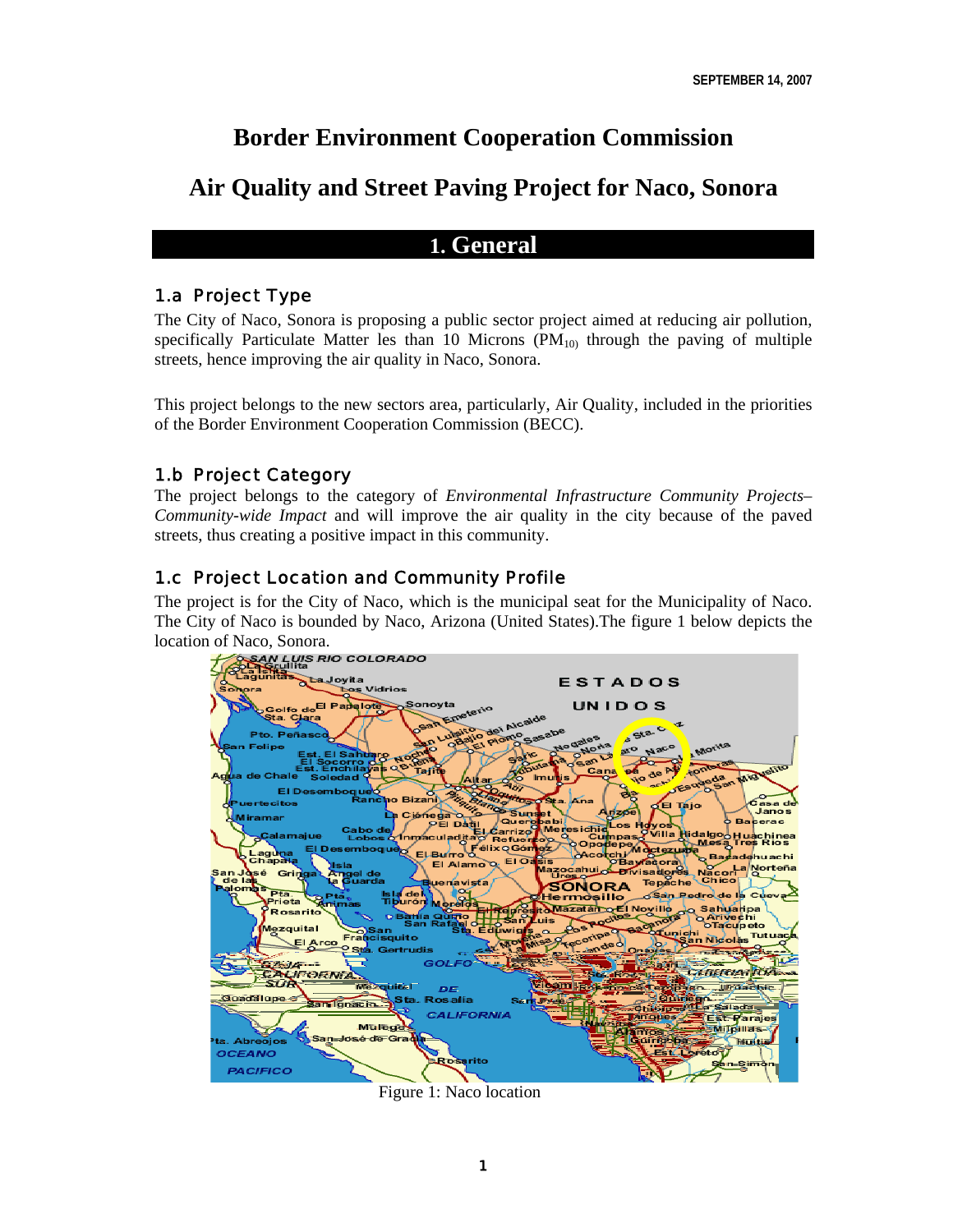# **Border Environment Cooperation Commission**

# **Air Quality and Street Paving Project for Naco, Sonora**

## **1. General**

## 1.a Project Type

The City of Naco, Sonora is proposing a public sector project aimed at reducing air pollution, specifically Particulate Matter les than 10 Microns  $(PM_{10})$  through the paving of multiple streets, hence improving the air quality in Naco, Sonora.

This project belongs to the new sectors area, particularly, Air Quality, included in the priorities of the Border Environment Cooperation Commission (BECC).

## 1.b Project Category

The project belongs to the category of *Environmental Infrastructure Community Projects– Community-wide Impact* and will improve the air quality in the city because of the paved streets, thus creating a positive impact in this community.

## 1.c Project Location and Community Profile

The project is for the City of Naco, which is the municipal seat for the Municipality of Naco. The City of Naco is bounded by Naco, Arizona (United States).The figure 1 below depicts the location of Naco, Sonora.<br>
<del>1 884M LUIS</del> RIO COLORADO



Figure 1: Naco location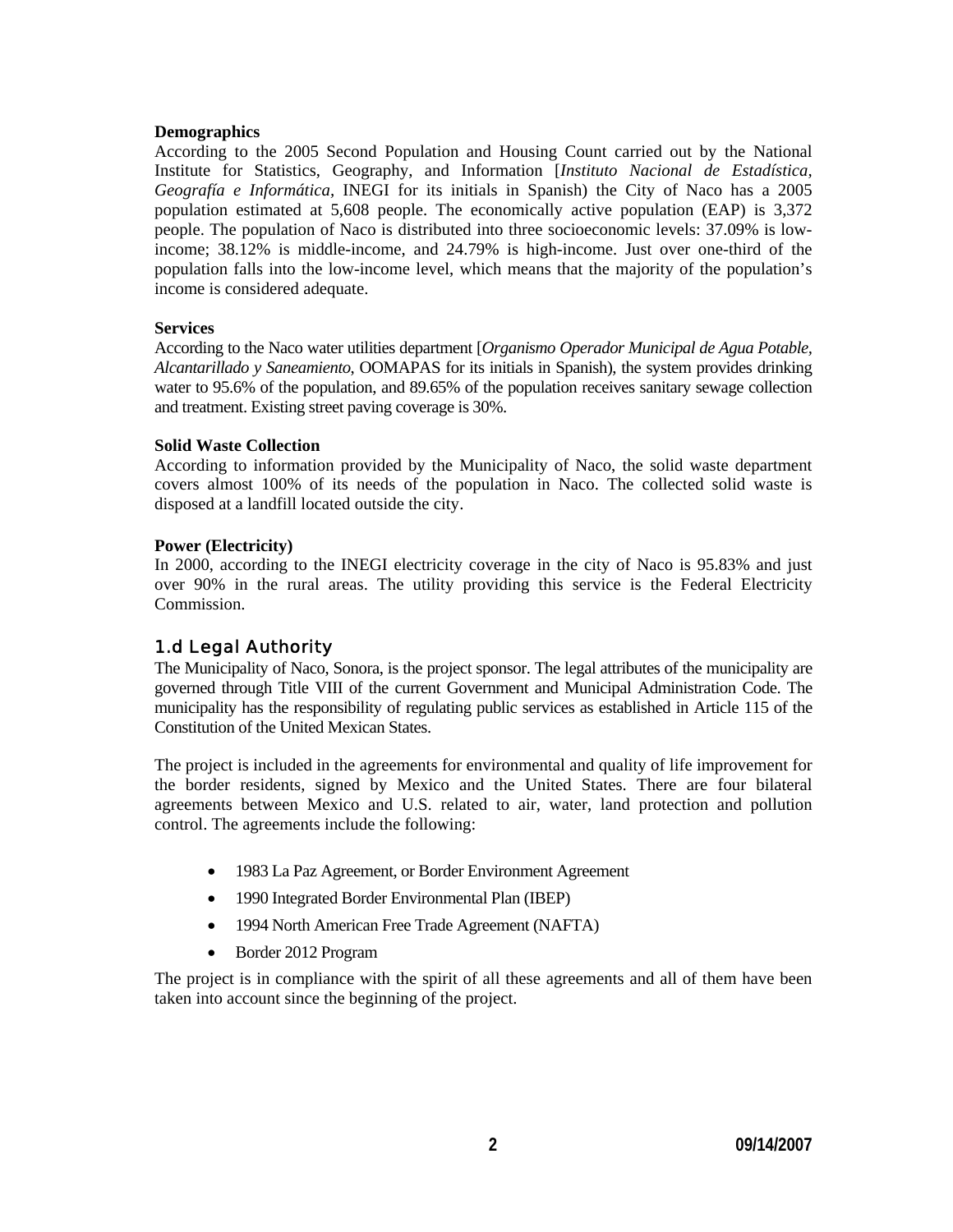#### **Demographics**

According to the 2005 Second Population and Housing Count carried out by the National Institute for Statistics, Geography, and Information [*Instituto Nacional de Estadística, Geografía e Informática,* INEGI for its initials in Spanish) the City of Naco has a 2005 population estimated at 5,608 people. The economically active population (EAP) is 3,372 people. The population of Naco is distributed into three socioeconomic levels: 37.09% is lowincome; 38.12% is middle-income, and 24.79% is high-income. Just over one-third of the population falls into the low-income level, which means that the majority of the population's income is considered adequate.

#### **Services**

According to the Naco water utilities department [*Organismo Operador Municipal de Agua Potable, Alcantarillado y Saneamiento*, OOMAPAS for its initials in Spanish), the system provides drinking water to 95.6% of the population, and 89.65% of the population receives sanitary sewage collection and treatment. Existing street paving coverage is 30%.

#### **Solid Waste Collection**

According to information provided by the Municipality of Naco, the solid waste department covers almost 100% of its needs of the population in Naco. The collected solid waste is disposed at a landfill located outside the city.

#### **Power (Electricity)**

In 2000, according to the INEGI electricity coverage in the city of Naco is 95.83% and just over 90% in the rural areas. The utility providing this service is the Federal Electricity Commission.

## 1.d Legal Authority

The Municipality of Naco, Sonora, is the project sponsor. The legal attributes of the municipality are governed through Title VIII of the current Government and Municipal Administration Code. The municipality has the responsibility of regulating public services as established in Article 115 of the Constitution of the United Mexican States.

The project is included in the agreements for environmental and quality of life improvement for the border residents, signed by Mexico and the United States. There are four bilateral agreements between Mexico and U.S. related to air, water, land protection and pollution control. The agreements include the following:

- 1983 La Paz Agreement, or Border Environment Agreement
- 1990 Integrated Border Environmental Plan (IBEP)
- 1994 North American Free Trade Agreement (NAFTA)
- Border 2012 Program

The project is in compliance with the spirit of all these agreements and all of them have been taken into account since the beginning of the project.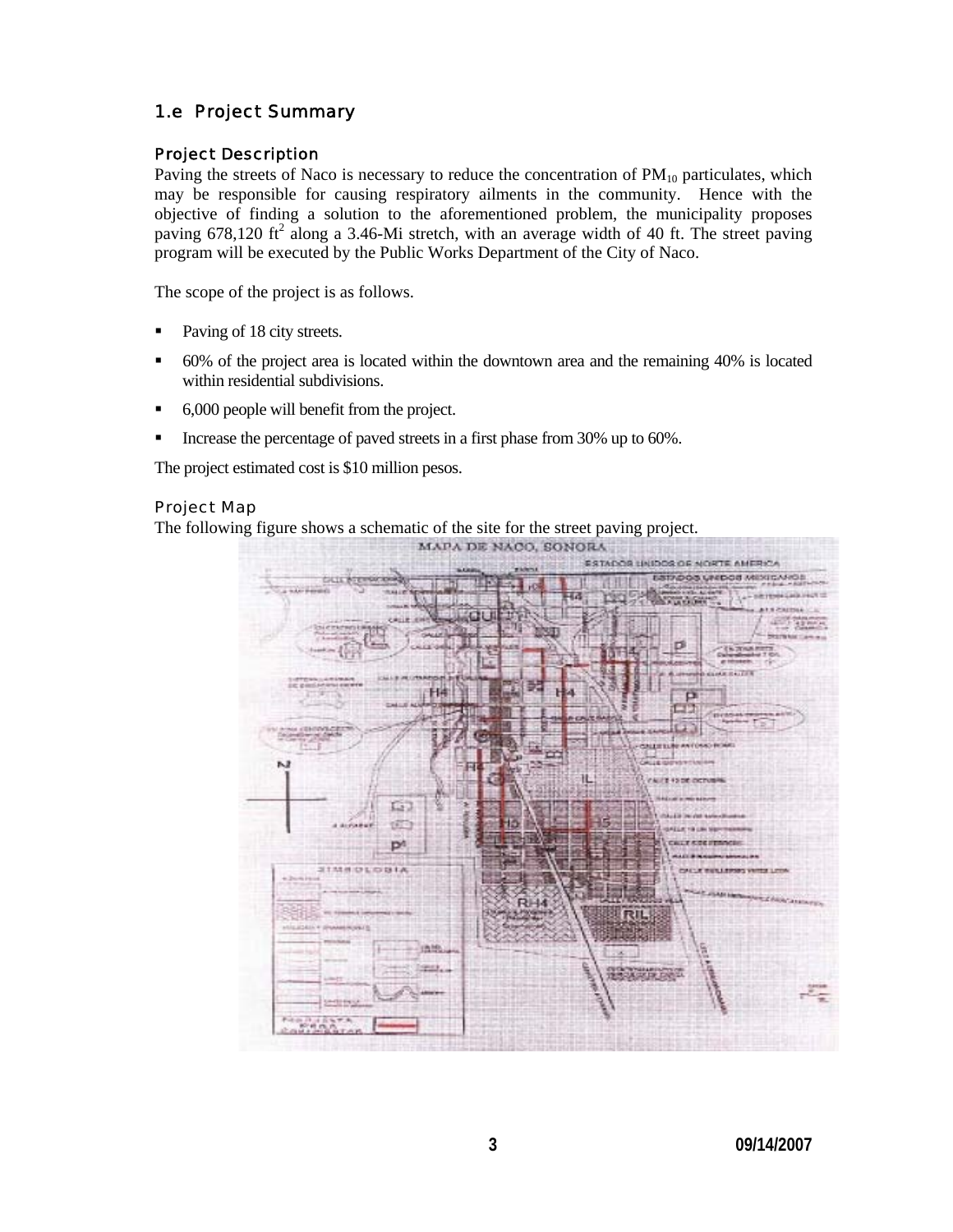## 1.e Project Summary

#### Project Description

Paving the streets of Naco is necessary to reduce the concentration of  $PM_{10}$  particulates, which may be responsible for causing respiratory ailments in the community. Hence with the objective of finding a solution to the aforementioned problem, the municipality proposes paving  $678,120$  ft<sup>2</sup> along a 3.46-Mi stretch, with an average width of 40 ft. The street paving program will be executed by the Public Works Department of the City of Naco.

The scope of the project is as follows.

- Paving of 18 city streets.
- 60% of the project area is located within the downtown area and the remaining 40% is located within residential subdivisions.
- 6,000 people will benefit from the project.
- Increase the percentage of paved streets in a first phase from 30% up to 60%.

The project estimated cost is \$10 million pesos.

#### Project Map

The following figure shows a schematic of the site for the street paving project.

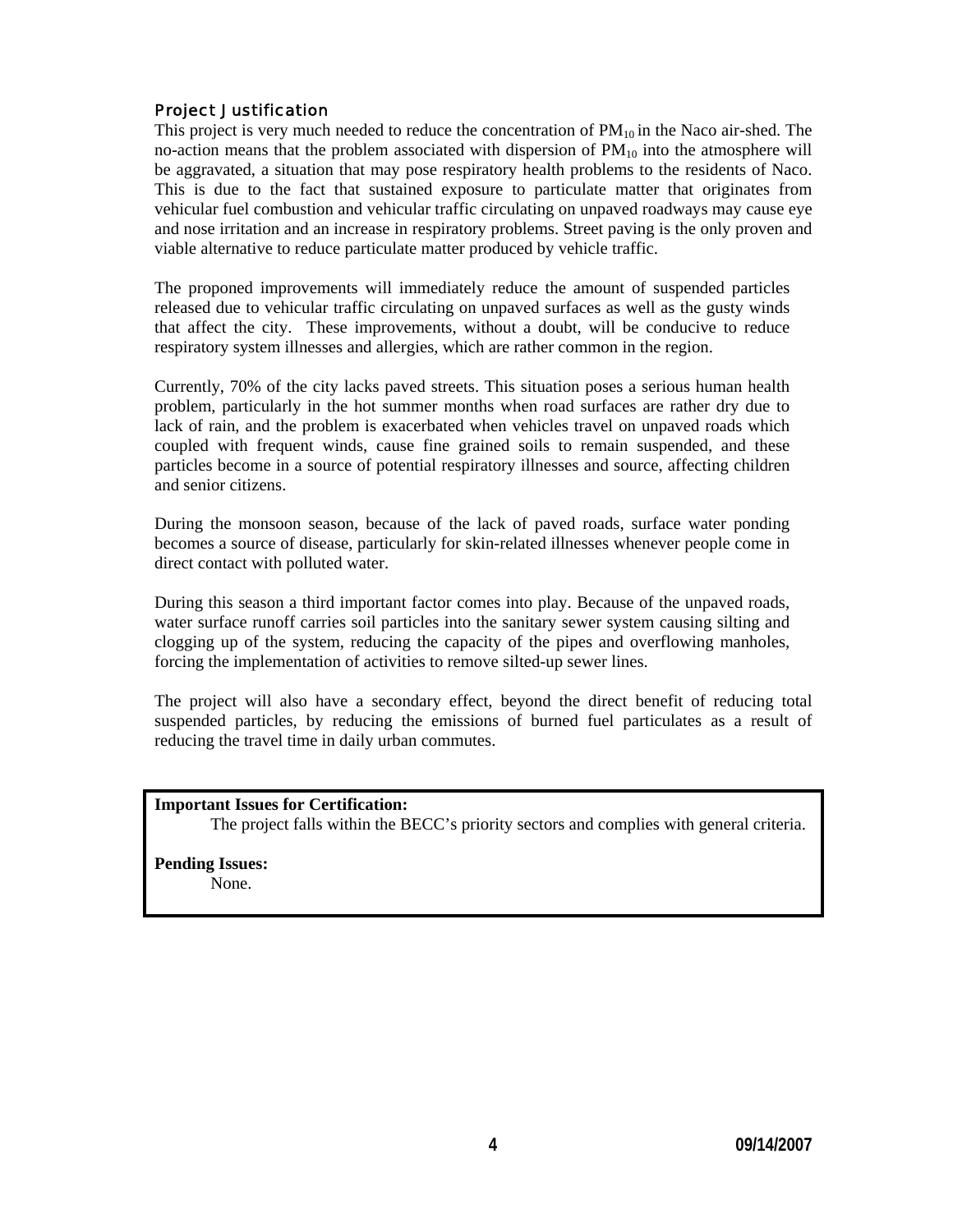#### Project Justification

This project is very much needed to reduce the concentration of  $PM_{10}$  in the Naco air-shed. The no-action means that the problem associated with dispersion of  $PM_{10}$  into the atmosphere will be aggravated, a situation that may pose respiratory health problems to the residents of Naco. This is due to the fact that sustained exposure to particulate matter that originates from vehicular fuel combustion and vehicular traffic circulating on unpaved roadways may cause eye and nose irritation and an increase in respiratory problems. Street paving is the only proven and viable alternative to reduce particulate matter produced by vehicle traffic.

The proponed improvements will immediately reduce the amount of suspended particles released due to vehicular traffic circulating on unpaved surfaces as well as the gusty winds that affect the city. These improvements, without a doubt, will be conducive to reduce respiratory system illnesses and allergies, which are rather common in the region.

Currently, 70% of the city lacks paved streets. This situation poses a serious human health problem, particularly in the hot summer months when road surfaces are rather dry due to lack of rain, and the problem is exacerbated when vehicles travel on unpaved roads which coupled with frequent winds, cause fine grained soils to remain suspended, and these particles become in a source of potential respiratory illnesses and source, affecting children and senior citizens.

During the monsoon season, because of the lack of paved roads, surface water ponding becomes a source of disease, particularly for skin-related illnesses whenever people come in direct contact with polluted water.

During this season a third important factor comes into play. Because of the unpaved roads, water surface runoff carries soil particles into the sanitary sewer system causing silting and clogging up of the system, reducing the capacity of the pipes and overflowing manholes, forcing the implementation of activities to remove silted-up sewer lines.

The project will also have a secondary effect, beyond the direct benefit of reducing total suspended particles, by reducing the emissions of burned fuel particulates as a result of reducing the travel time in daily urban commutes.

#### **Important Issues for Certification:**

The project falls within the BECC's priority sectors and complies with general criteria.

# **Pending Issues:**

None.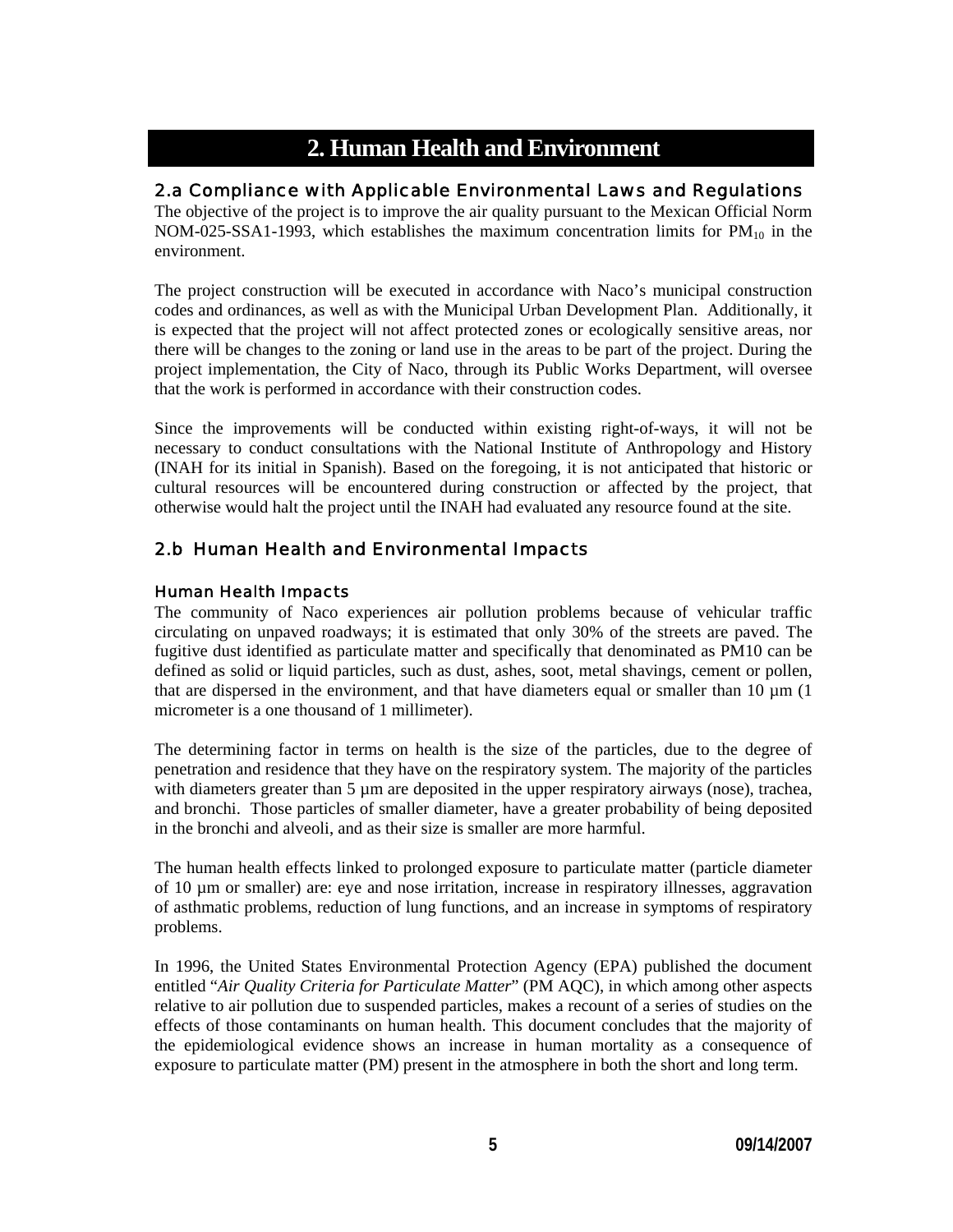# **2. Human Health and Environment**

## 2.a Compliance with Applicable Environmental Laws and Regulations

The objective of the project is to improve the air quality pursuant to the Mexican Official Norm NOM-025-SSA1-1993, which establishes the maximum concentration limits for  $PM_{10}$  in the environment.

The project construction will be executed in accordance with Naco's municipal construction codes and ordinances, as well as with the Municipal Urban Development Plan. Additionally, it is expected that the project will not affect protected zones or ecologically sensitive areas, nor there will be changes to the zoning or land use in the areas to be part of the project. During the project implementation, the City of Naco, through its Public Works Department, will oversee that the work is performed in accordance with their construction codes.

Since the improvements will be conducted within existing right-of-ways, it will not be necessary to conduct consultations with the National Institute of Anthropology and History (INAH for its initial in Spanish). Based on the foregoing, it is not anticipated that historic or cultural resources will be encountered during construction or affected by the project, that otherwise would halt the project until the INAH had evaluated any resource found at the site.

## 2.b Human Health and Environmental Impacts

#### Human Health Impacts

The community of Naco experiences air pollution problems because of vehicular traffic circulating on unpaved roadways; it is estimated that only 30% of the streets are paved. The fugitive dust identified as particulate matter and specifically that denominated as PM10 can be defined as solid or liquid particles, such as dust, ashes, soot, metal shavings, cement or pollen, that are dispersed in the environment, and that have diameters equal or smaller than  $10 \mu m$  (1) micrometer is a one thousand of 1 millimeter).

The determining factor in terms on health is the size of the particles, due to the degree of penetration and residence that they have on the respiratory system. The majority of the particles with diameters greater than 5 µm are deposited in the upper respiratory airways (nose), trachea, and bronchi. Those particles of smaller diameter, have a greater probability of being deposited in the bronchi and alveoli, and as their size is smaller are more harmful.

The human health effects linked to prolonged exposure to particulate matter (particle diameter of 10 µm or smaller) are: eye and nose irritation, increase in respiratory illnesses, aggravation of asthmatic problems, reduction of lung functions, and an increase in symptoms of respiratory problems.

In 1996, the United States Environmental Protection Agency (EPA) published the document entitled "*Air Quality Criteria for Particulate Matter*" (PM AQC), in which among other aspects relative to air pollution due to suspended particles, makes a recount of a series of studies on the effects of those contaminants on human health. This document concludes that the majority of the epidemiological evidence shows an increase in human mortality as a consequence of exposure to particulate matter (PM) present in the atmosphere in both the short and long term.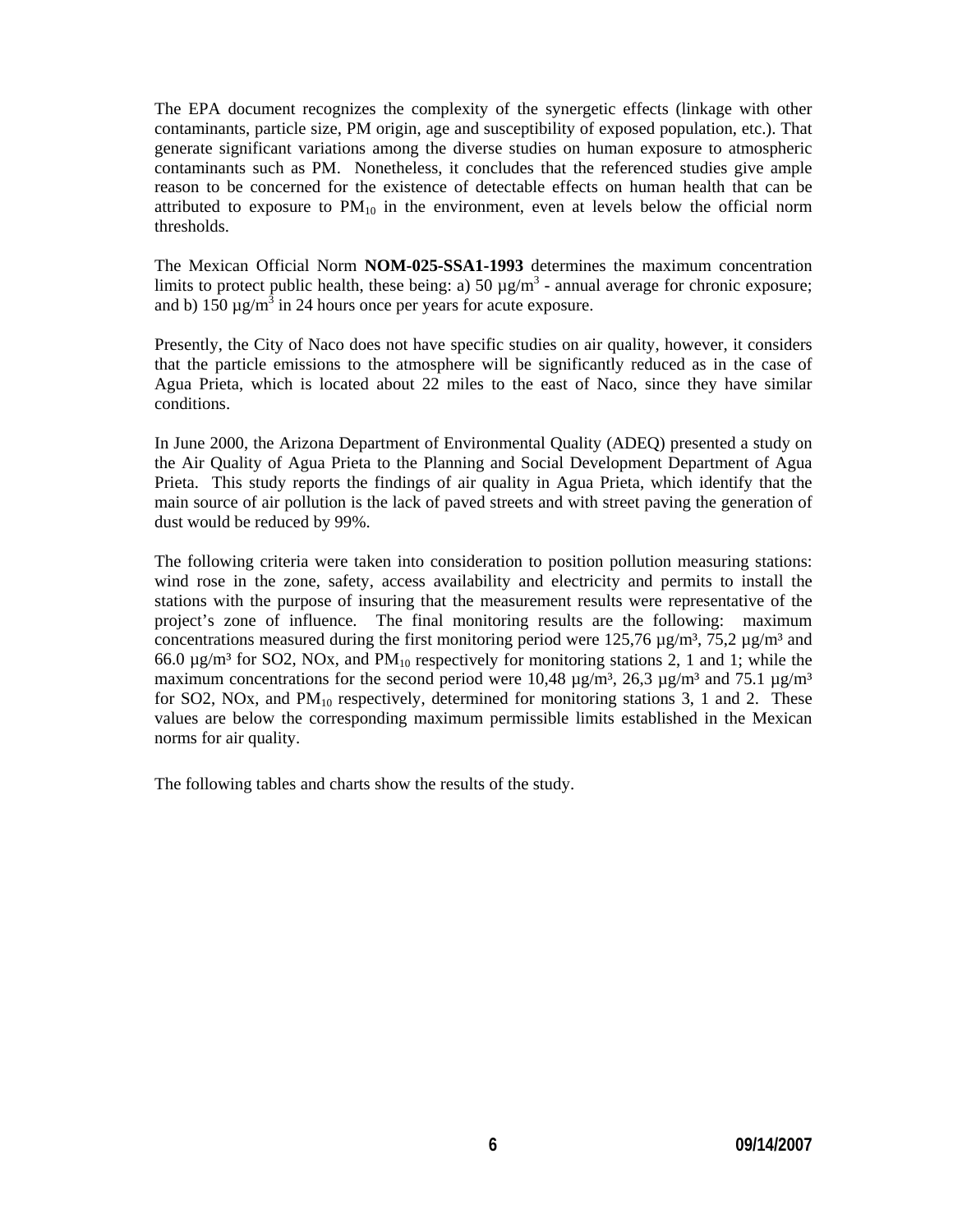The EPA document recognizes the complexity of the synergetic effects (linkage with other contaminants, particle size, PM origin, age and susceptibility of exposed population, etc.). That generate significant variations among the diverse studies on human exposure to atmospheric contaminants such as PM. Nonetheless, it concludes that the referenced studies give ample reason to be concerned for the existence of detectable effects on human health that can be attributed to exposure to  $PM_{10}$  in the environment, even at levels below the official norm thresholds.

The Mexican Official Norm **NOM-025-SSA1-1993** determines the maximum concentration limits to protect public health, these being: a) 50  $\mu$ g/m<sup>3</sup> - annual average for chronic exposure; and b)  $150 \mu g/m^3$  in 24 hours once per years for acute exposure.

Presently, the City of Naco does not have specific studies on air quality, however, it considers that the particle emissions to the atmosphere will be significantly reduced as in the case of Agua Prieta, which is located about 22 miles to the east of Naco, since they have similar conditions.

In June 2000, the Arizona Department of Environmental Quality (ADEQ) presented a study on the Air Quality of Agua Prieta to the Planning and Social Development Department of Agua Prieta. This study reports the findings of air quality in Agua Prieta, which identify that the main source of air pollution is the lack of paved streets and with street paving the generation of dust would be reduced by 99%.

The following criteria were taken into consideration to position pollution measuring stations: wind rose in the zone, safety, access availability and electricity and permits to install the stations with the purpose of insuring that the measurement results were representative of the project's zone of influence. The final monitoring results are the following: maximum concentrations measured during the first monitoring period were 125,76  $\mu$ g/m<sup>3</sup>, 75,2  $\mu$ g/m<sup>3</sup> and 66.0  $\mu$ g/m<sup>3</sup> for SO2, NOx, and PM<sub>10</sub> respectively for monitoring stations 2, 1 and 1; while the maximum concentrations for the second period were 10,48  $\mu$ g/m<sup>3</sup>, 26,3  $\mu$ g/m<sup>3</sup> and 75.1  $\mu$ g/m<sup>3</sup> for SO2, NOx, and  $PM_{10}$  respectively, determined for monitoring stations 3, 1 and 2. These values are below the corresponding maximum permissible limits established in the Mexican norms for air quality.

The following tables and charts show the results of the study.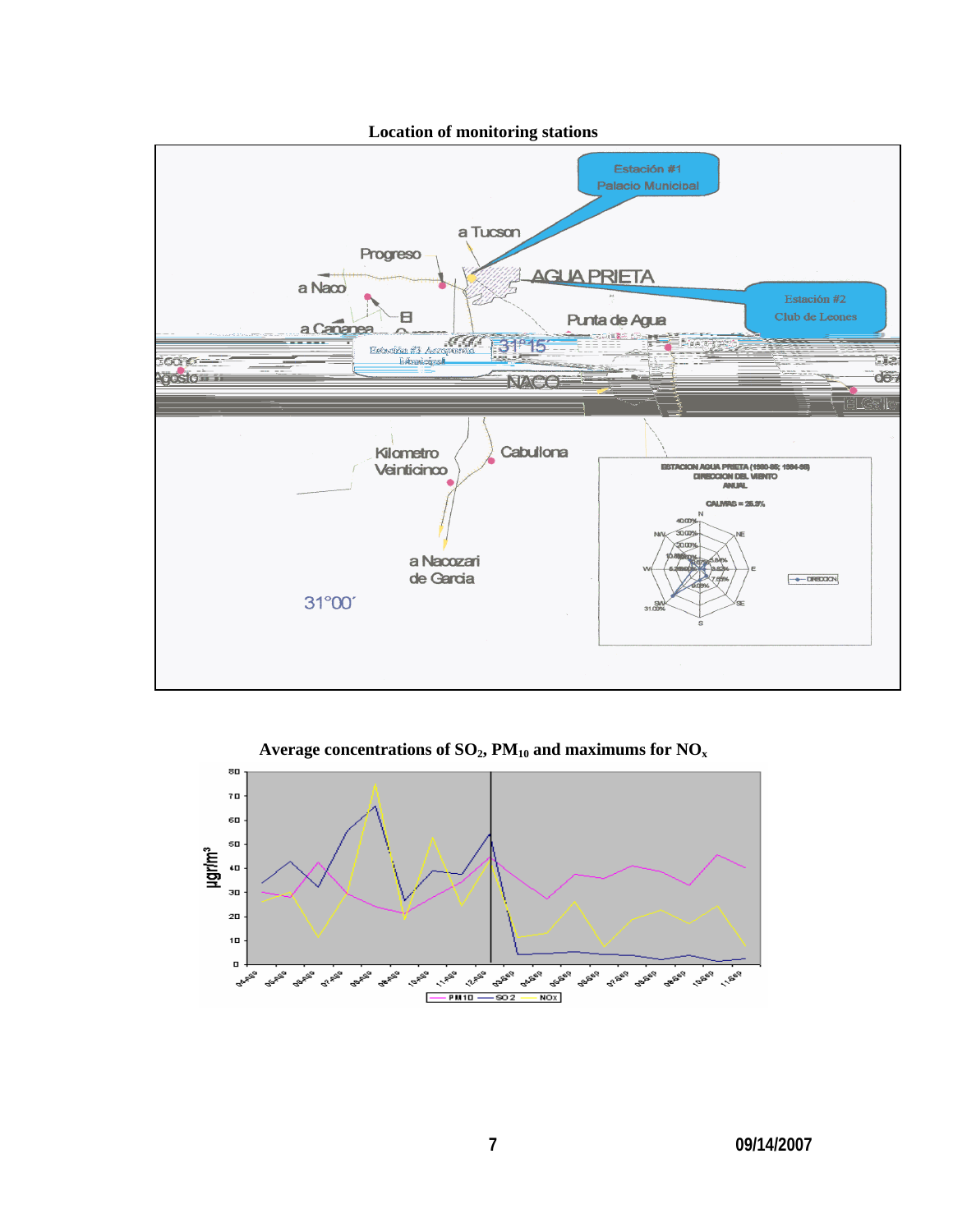

Average concentrations of  $SO_2$ , PM<sub>10</sub> and maximums for  $NO_x$ 

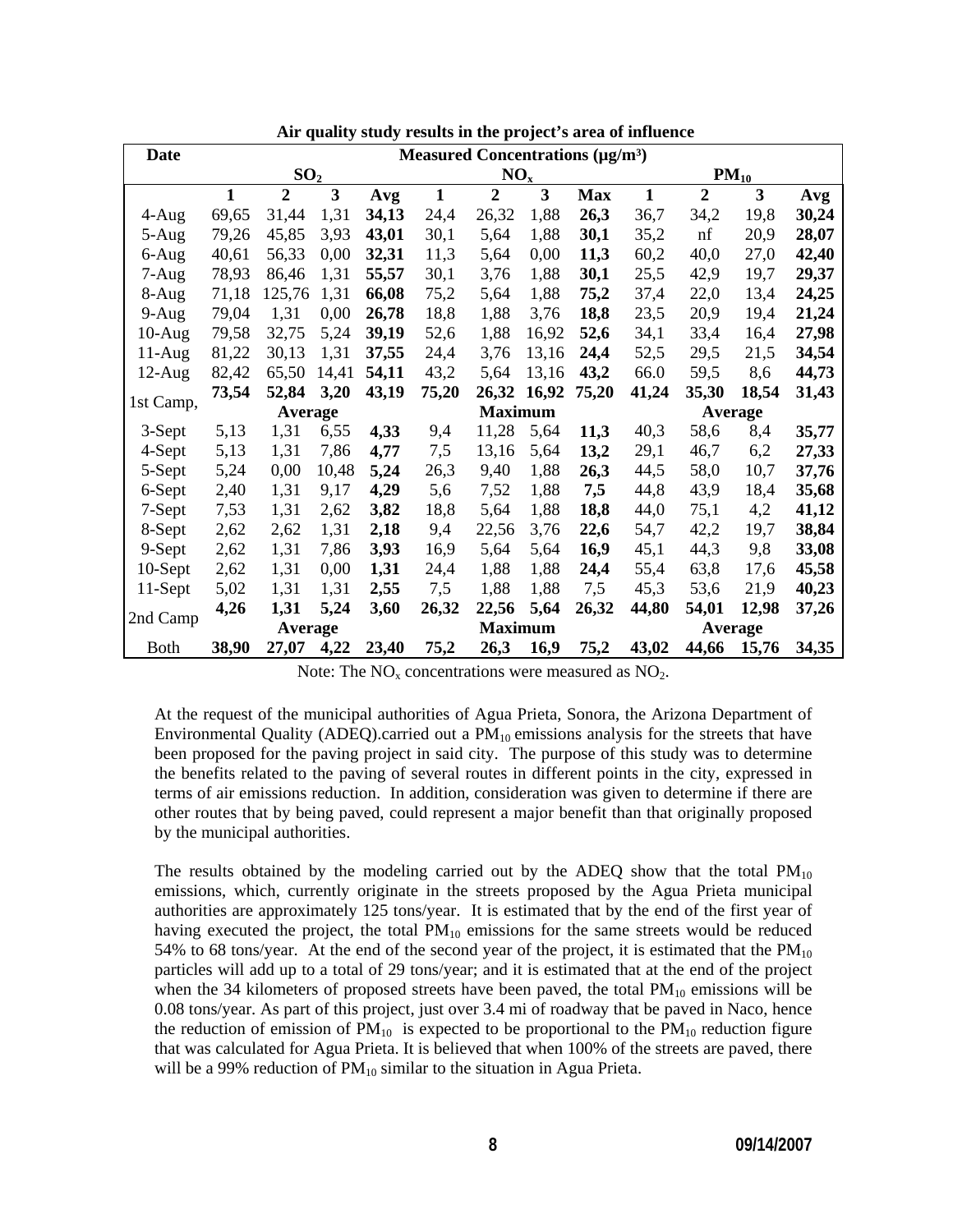| <b>Date</b> | Measured Concentrations $(\mu g/m^3)$ |                |       |                 |                |                |       |            |              |                |       |       |
|-------------|---------------------------------------|----------------|-------|-----------------|----------------|----------------|-------|------------|--------------|----------------|-------|-------|
|             | SO <sub>2</sub>                       |                |       | NO <sub>x</sub> |                |                |       | $PM_{10}$  |              |                |       |       |
|             | $\mathbf{1}$                          | $\overline{2}$ | 3     | Avg             | $\mathbf{1}$   | $\overline{2}$ | 3     | <b>Max</b> | $\mathbf{1}$ | $\overline{2}$ | 3     | Avg   |
| 4-Aug       | 69,65                                 | 31,44          | 1,31  | 34,13           | 24,4           | 26,32          | 1,88  | 26,3       | 36,7         | 34,2           | 19,8  | 30,24 |
| 5-Aug       | 79,26                                 | 45,85          | 3,93  | 43,01           | 30,1           | 5,64           | 1,88  | 30,1       | 35,2         | nf             | 20,9  | 28,07 |
| 6-Aug       | 40,61                                 | 56,33          | 0,00  | 32,31           | 11,3           | 5,64           | 0,00  | 11,3       | 60,2         | 40,0           | 27,0  | 42,40 |
| $7-Aug$     | 78,93                                 | 86,46          | 1,31  | 55,57           | 30,1           | 3,76           | 1,88  | 30,1       | 25,5         | 42,9           | 19,7  | 29,37 |
| 8-Aug       | 71,18                                 | 125,76         | 1,31  | 66,08           | 75,2           | 5,64           | 1,88  | 75,2       | 37,4         | 22,0           | 13,4  | 24,25 |
| $9-Aug$     | 79,04                                 | 1,31           | 0,00  | 26,78           | 18,8           | 1,88           | 3,76  | 18,8       | 23,5         | 20,9           | 19,4  | 21,24 |
| $10-Aug$    | 79,58                                 | 32,75          | 5,24  | 39,19           | 52,6           | 1,88           | 16,92 | 52,6       | 34,1         | 33,4           | 16,4  | 27,98 |
| $11-Aug$    | 81,22                                 | 30,13          | 1,31  | 37,55           | 24,4           | 3,76           | 13,16 | 24,4       | 52,5         | 29,5           | 21,5  | 34,54 |
| $12-Aug$    | 82,42                                 | 65,50          | 14,41 | 54,11           | 43,2           | 5,64           | 13,16 | 43,2       | 66.0         | 59,5           | 8,6   | 44,73 |
| 1st Camp,   | 73,54                                 | 52,84          | 3,20  | 43,19           | 75,20          | 26,32          | 16,92 | 75,20      | 41,24        | 35,30          | 18,54 | 31,43 |
|             | <b>Average</b>                        |                |       |                 | <b>Maximum</b> |                |       |            | Average      |                |       |       |
| 3-Sept      | 5,13                                  | 1,31           | 6,55  | 4,33            | 9,4            | 11,28          | 5,64  | 11,3       | 40,3         | 58,6           | 8,4   | 35,77 |
| 4-Sept      | 5,13                                  | 1,31           | 7,86  | 4,77            | 7,5            | 13,16          | 5,64  | 13,2       | 29,1         | 46,7           | 6,2   | 27,33 |
| 5-Sept      | 5,24                                  | 0,00           | 10,48 | 5,24            | 26,3           | 9,40           | 1,88  | 26,3       | 44,5         | 58,0           | 10,7  | 37,76 |
| 6-Sept      | 2,40                                  | 1,31           | 9,17  | 4,29            | 5,6            | 7,52           | 1,88  | 7,5        | 44,8         | 43,9           | 18,4  | 35,68 |
| 7-Sept      | 7,53                                  | 1,31           | 2,62  | 3,82            | 18,8           | 5,64           | 1,88  | 18,8       | 44,0         | 75,1           | 4,2   | 41,12 |
| 8-Sept      | 2,62                                  | 2,62           | 1,31  | 2,18            | 9,4            | 22,56          | 3,76  | 22,6       | 54,7         | 42,2           | 19,7  | 38,84 |
| 9-Sept      | 2,62                                  | 1,31           | 7,86  | 3,93            | 16,9           | 5,64           | 5,64  | 16,9       | 45,1         | 44,3           | 9,8   | 33,08 |
| 10-Sept     | 2,62                                  | 1,31           | 0,00  | 1,31            | 24,4           | 1,88           | 1,88  | 24,4       | 55,4         | 63,8           | 17,6  | 45,58 |
| 11-Sept     | 5,02                                  | 1,31           | 1,31  | 2,55            | 7,5            | 1,88           | 1,88  | 7,5        | 45,3         | 53,6           | 21,9  | 40,23 |
| 2nd Camp    | 4,26                                  | 1,31           | 5,24  | 3,60            | 26,32          | 22,56          | 5,64  | 26,32      | 44,80        | 54,01          | 12,98 | 37,26 |
|             | Average                               |                |       |                 | <b>Maximum</b> |                |       |            | Average      |                |       |       |
| <b>Both</b> | 38,90                                 | 27,07          | 4,22  | 23,40           | 75,2           | 26,3           | 16,9  | 75,2       | 43,02        | 44,66          | 15,76 | 34,35 |

 **Air quality study results in the project's area of influence** 

Note: The  $NO<sub>x</sub>$  concentrations were measured as  $NO<sub>2</sub>$ .

At the request of the municipal authorities of Agua Prieta, Sonora, the Arizona Department of Environmental Quality (ADEQ).carried out a  $PM_{10}$  emissions analysis for the streets that have been proposed for the paving project in said city. The purpose of this study was to determine the benefits related to the paving of several routes in different points in the city, expressed in terms of air emissions reduction. In addition, consideration was given to determine if there are other routes that by being paved, could represent a major benefit than that originally proposed by the municipal authorities.

The results obtained by the modeling carried out by the ADEQ show that the total  $PM_{10}$ emissions, which, currently originate in the streets proposed by the Agua Prieta municipal authorities are approximately 125 tons/year. It is estimated that by the end of the first year of having executed the project, the total  $PM_{10}$  emissions for the same streets would be reduced 54% to 68 tons/year. At the end of the second year of the project, it is estimated that the  $PM_{10}$ particles will add up to a total of 29 tons/year; and it is estimated that at the end of the project when the 34 kilometers of proposed streets have been paved, the total  $PM_{10}$  emissions will be 0.08 tons/year. As part of this project, just over 3.4 mi of roadway that be paved in Naco, hence the reduction of emission of  $PM_{10}$  is expected to be proportional to the  $PM_{10}$  reduction figure that was calculated for Agua Prieta. It is believed that when 100% of the streets are paved, there will be a 99% reduction of  $PM_{10}$  similar to the situation in Agua Prieta.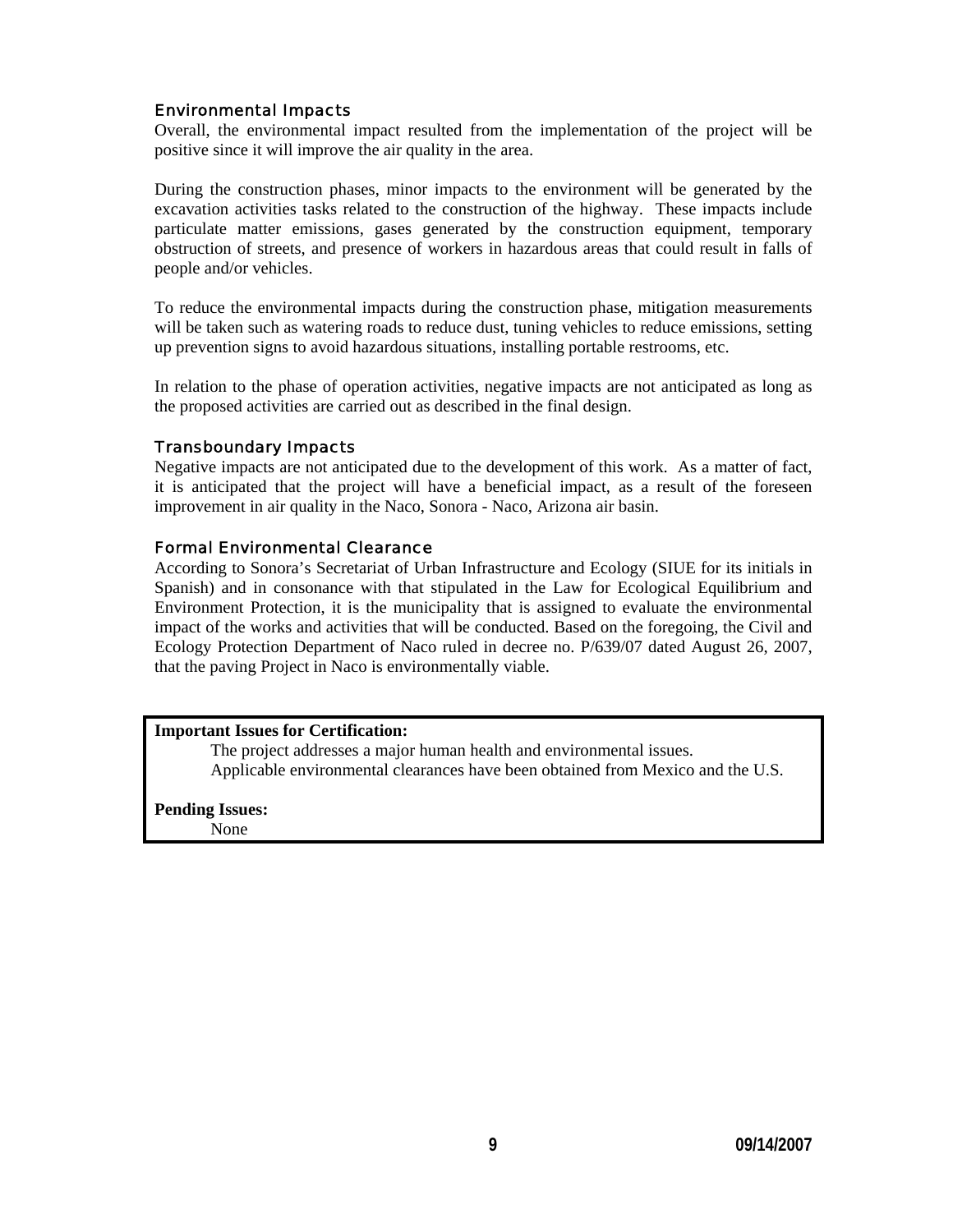#### Environmental Impacts

Overall, the environmental impact resulted from the implementation of the project will be positive since it will improve the air quality in the area.

During the construction phases, minor impacts to the environment will be generated by the excavation activities tasks related to the construction of the highway. These impacts include particulate matter emissions, gases generated by the construction equipment, temporary obstruction of streets, and presence of workers in hazardous areas that could result in falls of people and/or vehicles.

To reduce the environmental impacts during the construction phase, mitigation measurements will be taken such as watering roads to reduce dust, tuning vehicles to reduce emissions, setting up prevention signs to avoid hazardous situations, installing portable restrooms, etc.

In relation to the phase of operation activities, negative impacts are not anticipated as long as the proposed activities are carried out as described in the final design.

#### Transboundary Impacts

Negative impacts are not anticipated due to the development of this work. As a matter of fact, it is anticipated that the project will have a beneficial impact, as a result of the foreseen improvement in air quality in the Naco, Sonora - Naco, Arizona air basin.

#### Formal Environmental Clearance

According to Sonora's Secretariat of Urban Infrastructure and Ecology (SIUE for its initials in Spanish) and in consonance with that stipulated in the Law for Ecological Equilibrium and Environment Protection, it is the municipality that is assigned to evaluate the environmental impact of the works and activities that will be conducted. Based on the foregoing, the Civil and Ecology Protection Department of Naco ruled in decree no. P/639/07 dated August 26, 2007, that the paving Project in Naco is environmentally viable.

#### **Important Issues for Certification:**

The project addresses a major human health and environmental issues. Applicable environmental clearances have been obtained from Mexico and the U.S.

**Pending Issues:**

None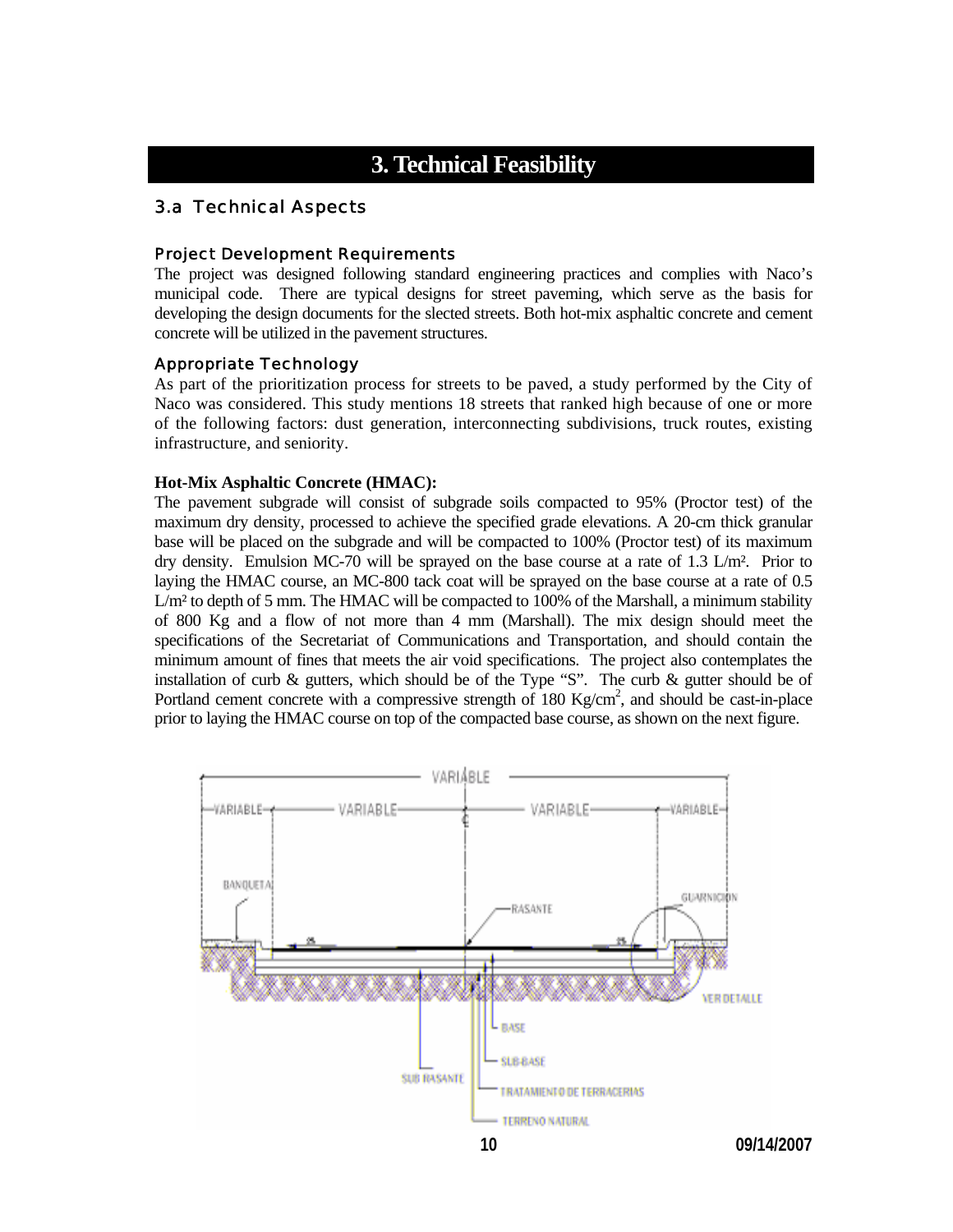## **3. Technical Feasibility**

## 3.a Technical Aspects

#### Project Development Requirements

The project was designed following standard engineering practices and complies with Naco's municipal code. There are typical designs for street paveming, which serve as the basis for developing the design documents for the slected streets. Both hot-mix asphaltic concrete and cement concrete will be utilized in the pavement structures.

#### Appropriate Technology

As part of the prioritization process for streets to be paved, a study performed by the City of Naco was considered. This study mentions 18 streets that ranked high because of one or more of the following factors: dust generation, interconnecting subdivisions, truck routes, existing infrastructure, and seniority.

#### **Hot-Mix Asphaltic Concrete (HMAC):**

The pavement subgrade will consist of subgrade soils compacted to 95% (Proctor test) of the maximum dry density, processed to achieve the specified grade elevations. A 20-cm thick granular base will be placed on the subgrade and will be compacted to 100% (Proctor test) of its maximum dry density. Emulsion MC-70 will be sprayed on the base course at a rate of 1.3 L/m². Prior to laying the HMAC course, an MC-800 tack coat will be sprayed on the base course at a rate of 0.5 L/m² to depth of 5 mm. The HMAC will be compacted to 100% of the Marshall, a minimum stability of 800 Kg and a flow of not more than 4 mm (Marshall). The mix design should meet the specifications of the Secretariat of Communications and Transportation, and should contain the minimum amount of fines that meets the air void specifications. The project also contemplates the installation of curb  $\&$  gutters, which should be of the Type "S". The curb  $\&$  gutter should be of Portland cement concrete with a compressive strength of 180 Kg/cm<sup>2</sup>, and should be cast-in-place prior to laying the HMAC course on top of the compacted base course, as shown on the next figure.

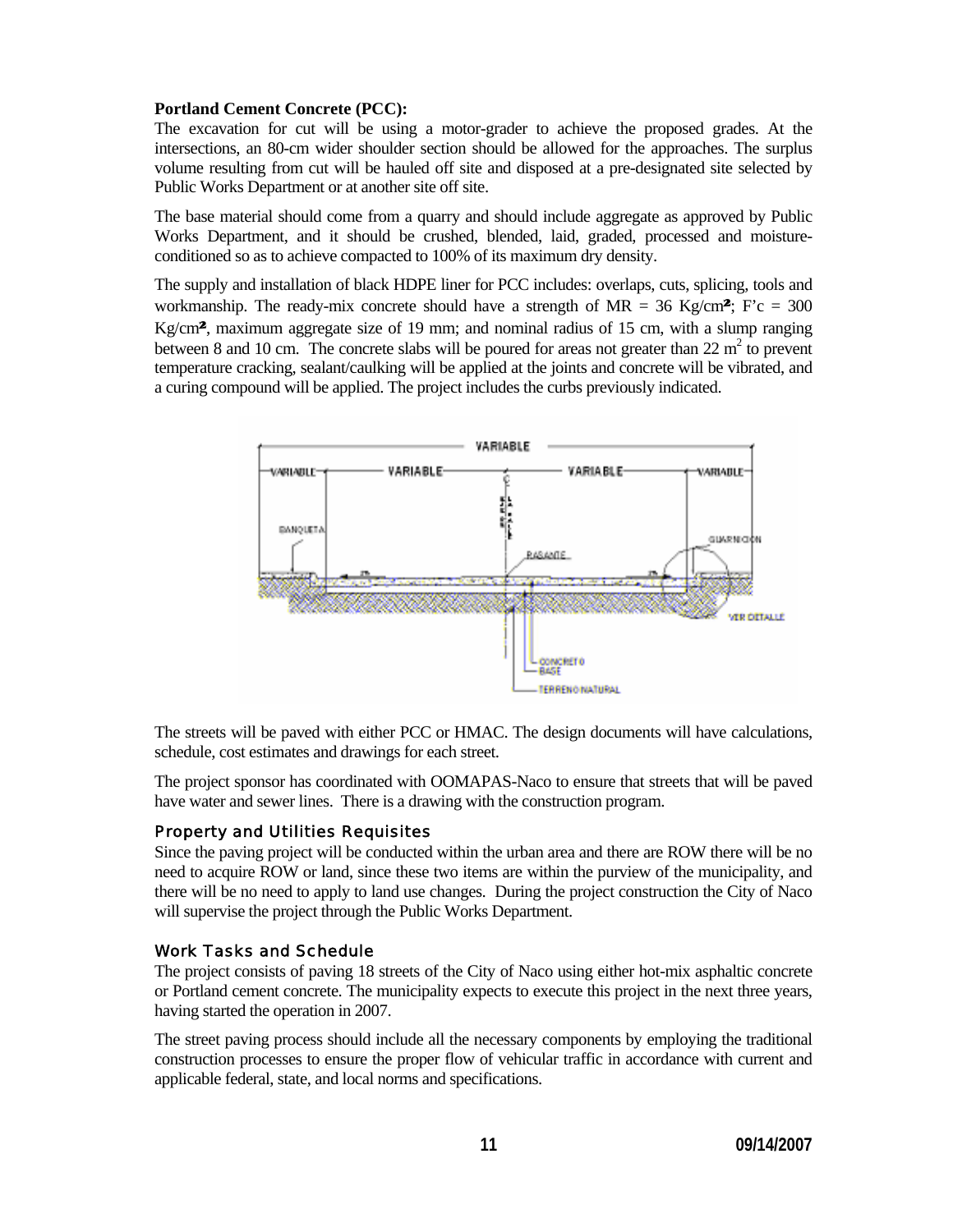#### **Portland Cement Concrete (PCC):**

The excavation for cut will be using a motor-grader to achieve the proposed grades. At the intersections, an 80-cm wider shoulder section should be allowed for the approaches. The surplus volume resulting from cut will be hauled off site and disposed at a pre-designated site selected by Public Works Department or at another site off site.

Works Department, and it should be crushed, blended, laid, graded, processed and moisture-The base material should come from a quarry and should include aggregate as approved by Public conditioned so as to achieve compacted to 100% of its maximum dry density.

temperature cracking, sealant/caulking will be applied at the joints and concrete will be vibrated, and a curing compound will be applied. The project includes the curbs previously indicated. The supply and installation of black HDPE liner for PCC includes: overlaps, cuts, splicing, tools and workmanship. The ready-mix concrete should have a strength of  $MR = 36$  Kg/cm<sup>2</sup>; F'c = 300 Kg/cm2, maximum aggregate size of 19 mm; and nominal radius of 15 cm, with a slump ranging between 8 and 10 cm. The concrete slabs will be poured for areas not greater than  $22 \text{ m}^2$  to prevent



The streets will be paved with either PCC or HMAC. The design documents will have calculations, schedule, cost estimates and drawings for each street.

The project sponsor has coordinated with OOMAPAS-Naco to ensure that streets that will be paved have water and sewer lines. There is a drawing with the construction program.

#### Property and Utilities Requisites

there will be no need to apply to land use changes. During the project construction the City of Naco will supervise the project through the Public Works Department. Since the paving project will be conducted within the urban area and there are ROW there will be no need to acquire ROW or land, since these two items are within the purview of the municipality, and

#### Work Tasks and Schedule

or Portland cement concrete. The municipality expects to execute this project in the next three years, The project consists of paving 18 streets of the City of Naco using either hot-mix asphaltic concrete having started the operation in 2007.

construction processes to ensure the proper flow of vehicular traffic in accordance with current and applicable federal, state, and local norms and specifications. The street paving process should include all the necessary components by employing the traditional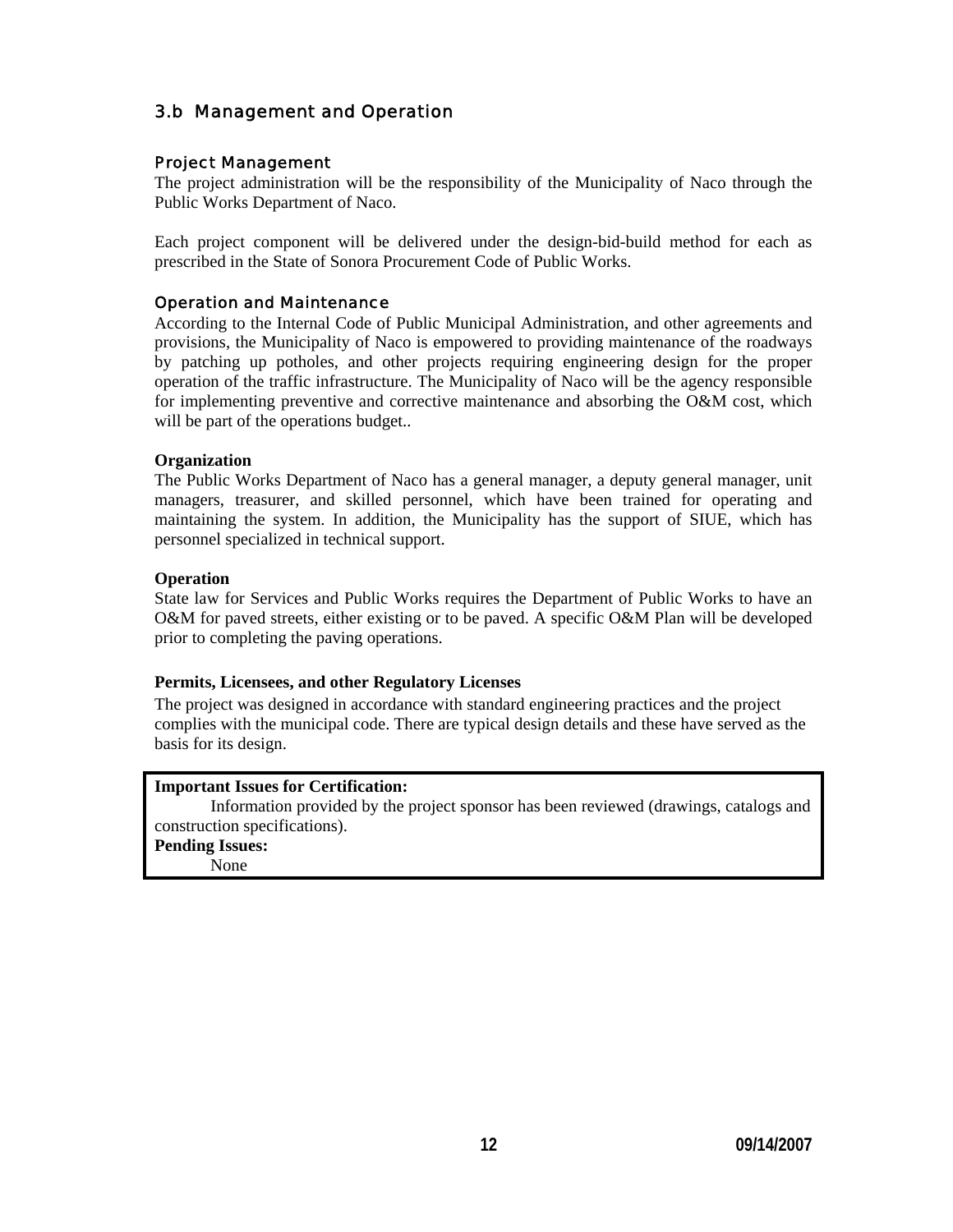## 3.b Management and Operation

#### Project Management

The project administration will be the responsibility of the Municipality of Naco through the Public Works Department of Naco.

Each project component will be delivered under the design-bid-build method for each as prescribed in the State of Sonora Procurement Code of Public Works.

#### Operation and Maintenance

for implementing preventive and corrective maintenance and absorbing the O&M cost, which will be part of the operations budget.. According to the Internal Code of Public Municipal Administration, and other agreements and provisions, the Municipality of Naco is empowered to providing maintenance of the roadways by patching up potholes, and other projects requiring engineering design for the proper operation of the traffic infrastructure. The Municipality of Naco will be the agency responsible

#### **Organization**

maintaining the system. In addition, the Municipality has the support of SIUE, which has personnel specialized in technical support. The Public Works Department of Naco has a general manager, a deputy general manager, unit managers, treasurer, and skilled personnel, which have been trained for operating and

#### **Operation**

O&M for paved streets, either existing or to be paved. A specific O&M Plan will be developed prior to completing the paving operations. State law for Services and Public Works requires the Department of Public Works to have an

#### **Permits, Licensees, and other Regulatory Licenses**

complies with the municipal code. There are typical design details and these have served as the The project was designed in accordance with standard engineering practices and the project basis for its design.

#### **Important Issues for Certification:**

Information provided by the project sponsor has been reviewed (drawings, catalogs and construction specifications).

**Pending Issues:**

None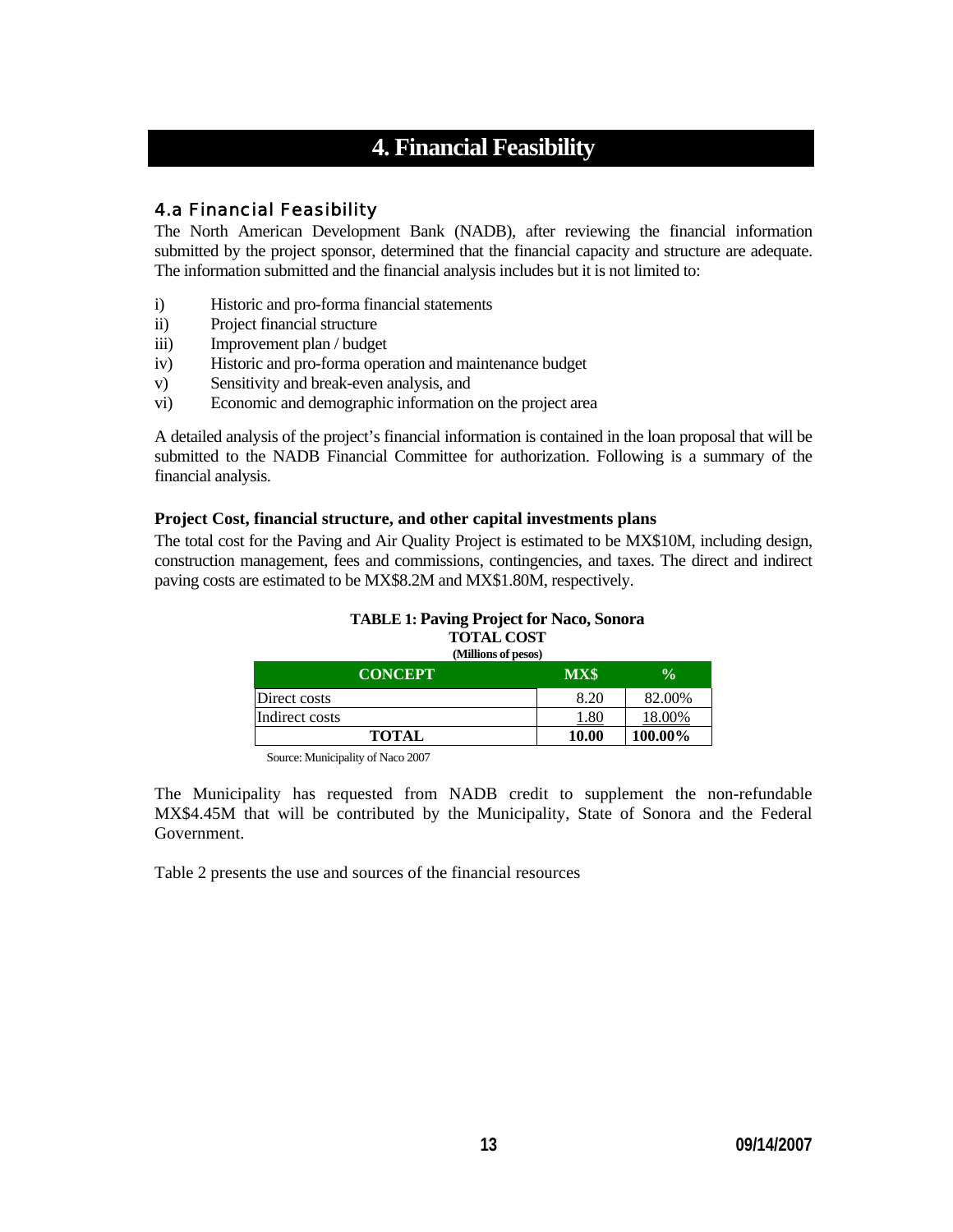# **4. Financial Feasibility**

## 4.a Financial Feasibility

The North American Development Bank (NADB), after reviewing the financial information submitted by the project sponsor, determined that the financial capacity and structure are adequate. The information submitted and the financial analysis includes but it is not limited to:

- i) Historic and pro-forma financial statements
- ii) Project financial structure
- iii) Improvement plan / budget
- iv) Historic and pro-forma operation and maintenance budget
- v) Sensitivity and break-even analysis, and
- vi) Economic and demographic information on the project area

A detailed analysis of the project's financial information is contained in the loan proposal that will be submitted to the NADB Financial Committee for authorization. Following is a summary of the financial analysis.

#### **Project Cost, financial structure, and other capital investments plans**

The total cost for the Paving and Air Quality Project is estimated to be MX\$10M, including design, construction management, fees and commissions, contingencies, and taxes. The direct and indirect paving costs are estimated to be MX\$8.2M and MX\$1.80M, respectively.

## **TABLE 1: Paving Project for Naco, Sonora TOTAL COST**

| (Millions of pesos) |           |               |  |  |  |  |
|---------------------|-----------|---------------|--|--|--|--|
| <b>CONCEPT</b>      | MX\$      | $\frac{0}{0}$ |  |  |  |  |
| Direct costs        | 8.20      | 82.00%        |  |  |  |  |
| Indirect costs      | $_{1.80}$ | 18.00%        |  |  |  |  |
| <b>TOTAL</b>        | 10.00     | 100.00%       |  |  |  |  |

Source: Municipality of Naco 2007

The Municipality has requested from NADB credit to supplement the non-refundable MX\$4.45M that will be contributed by the Municipality, State of Sonora and the Federal Government.

Table 2 presents the use and sources of the financial resources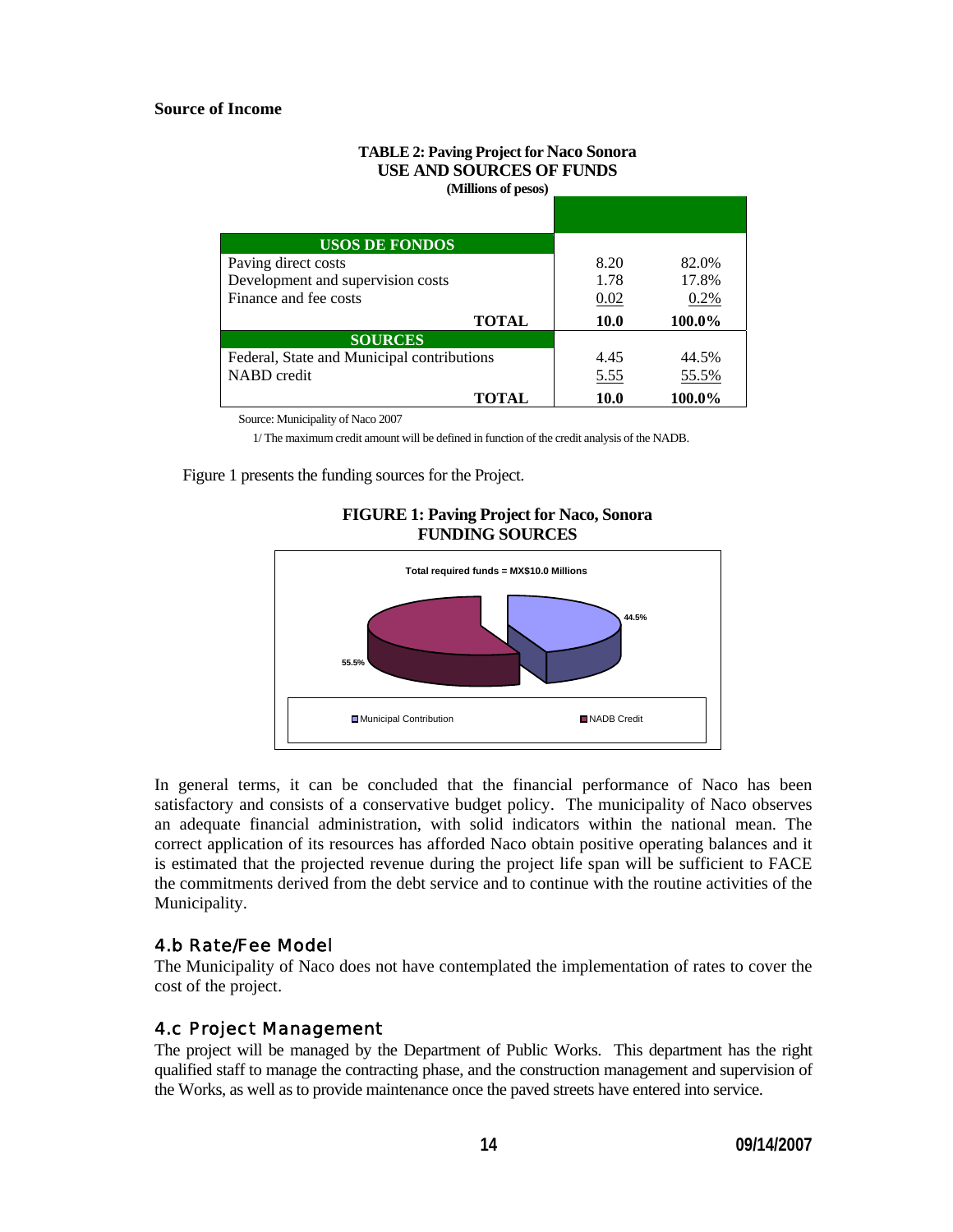#### **Source of Income**

#### **TABLE 2: Paving Project for Naco Sonora USE AND SOURCES OF FUNDS (Millions of pesos)**

| <b>USOS DE FONDOS</b>                      |             |        |
|--------------------------------------------|-------------|--------|
| Paving direct costs                        | 8.20        | 82.0%  |
| Development and supervision costs          | 1.78        | 17.8%  |
| Finance and fee costs                      | 0.02        | 0.2%   |
| <b>TOTAL</b>                               | <b>10.0</b> | 100.0% |
| <b>SOURCES</b>                             |             |        |
| Federal, State and Municipal contributions | 4.45        | 44.5%  |
| NABD credit                                | 5.55        | 55.5%  |
| TOTAL                                      | 10.0        | 100.0% |

Source: Municipality of Naco 2007

1/ The maximum credit amount will be defined in function of the credit analysis of the NADB.

Figure 1 presents the funding sources for the Project.





In general terms, it can be concluded that the financial performance of Naco has been satisfactory and consists of a conservative budget policy. The municipality of Naco observes an adequate financial administration, with solid indicators within the national mean. The correct application of its resources has afforded Naco obtain positive operating balances and it is estimated that the projected revenue during the project life span will be sufficient to FACE the commitments derived from the debt service and to continue with the routine activities of the Municipality.

#### 4.b Rate/Fee Model

The Municipality of Naco does not have contemplated the implementation of rates to cover the cost of the project.

#### 4.c Project Management

The project will be managed by the Department of Public Works. This department has the right qualified staff to manage the contracting phase, and the construction management and supervision of the Works, as well as to provide maintenance once the paved streets have entered into service.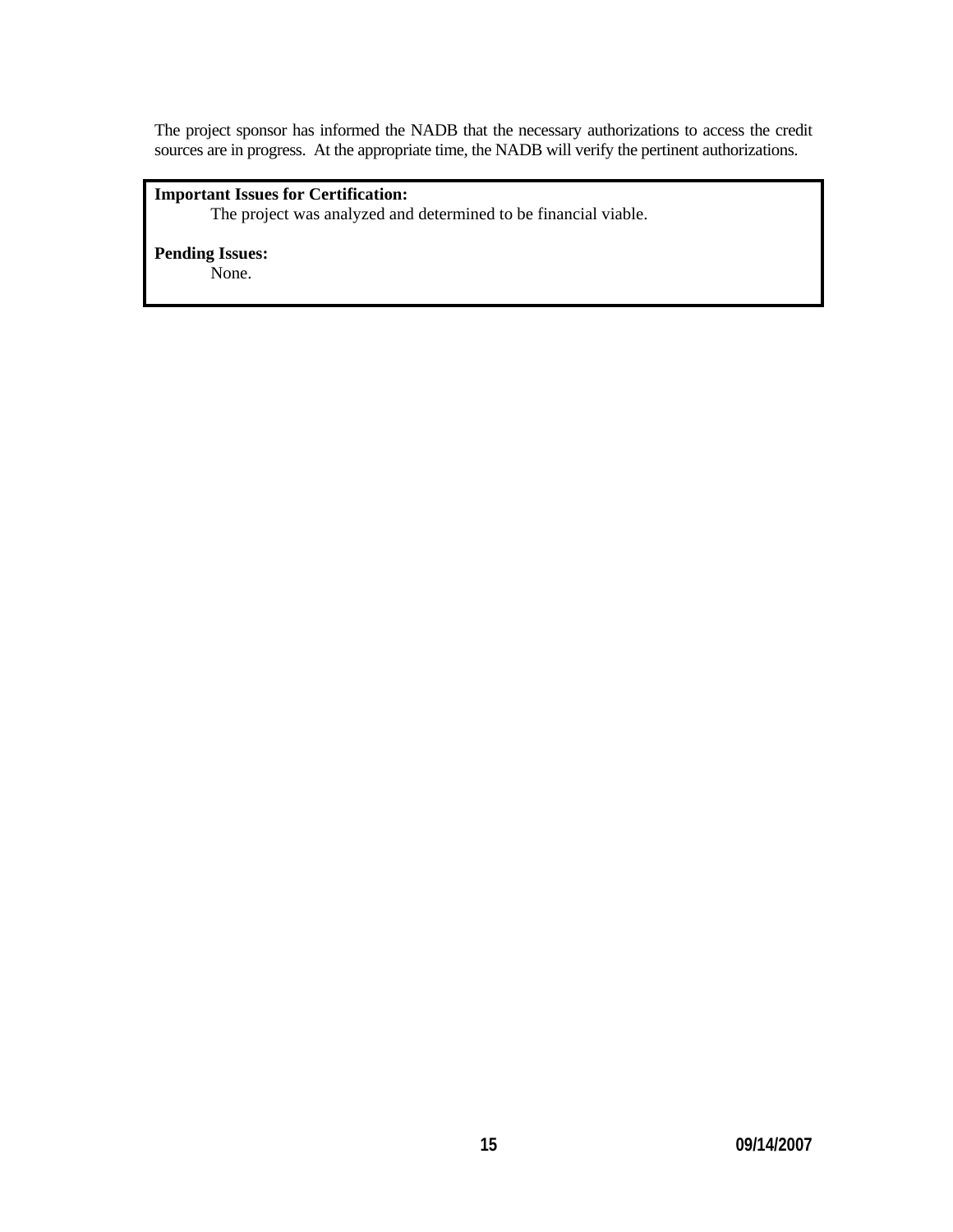The project sponsor has informed the NADB that the necessary authorizations to access the credit sources are in progress. At the appropriate time, the NADB will verify the pertinent authorizations.

## **Important Issues for Certification:**

The project was analyzed and determined to be financial viable.

**Pending Issues:** None.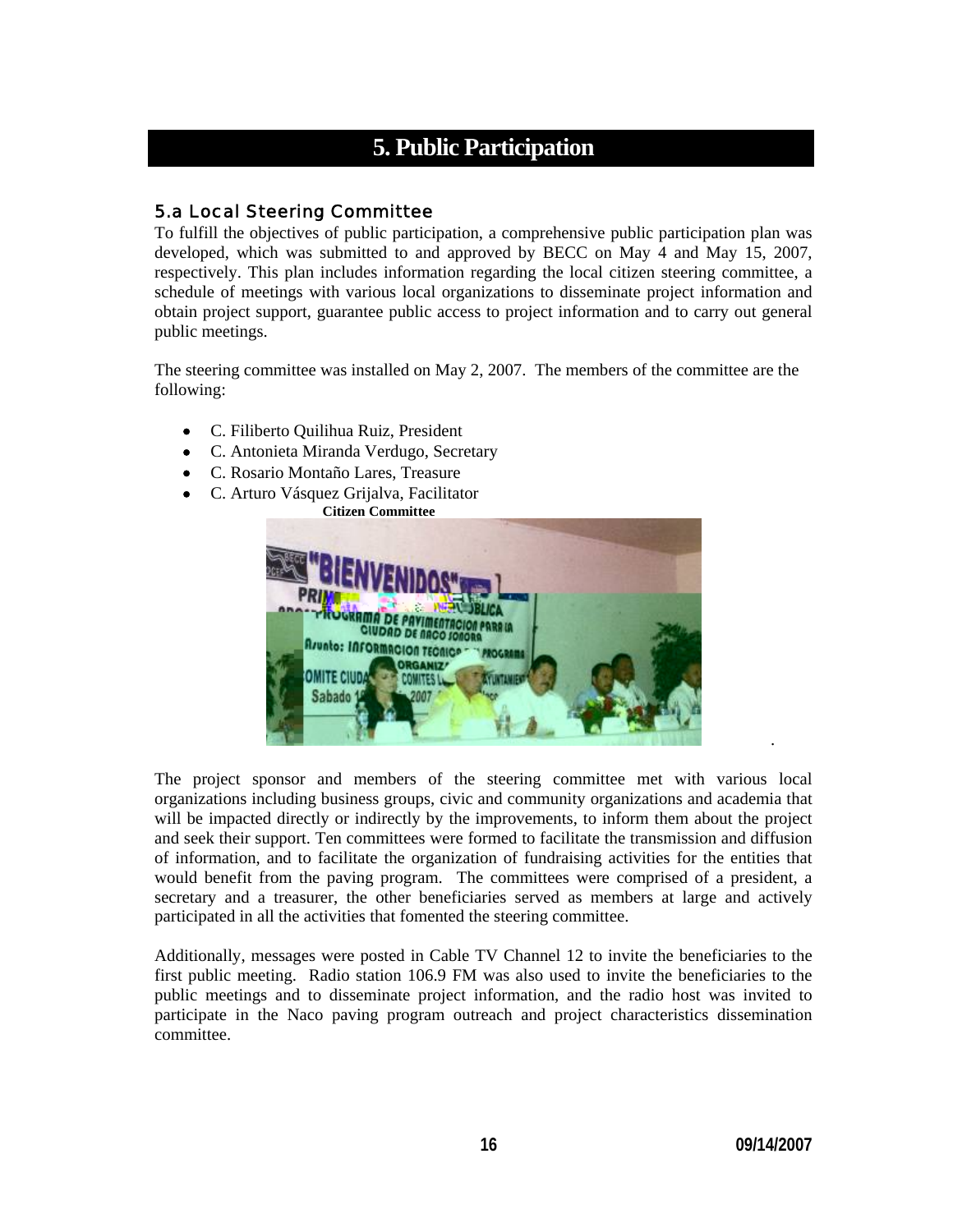# **5. Public Participation**

## 5.a Local Steering Committee

To fulfill the objectives of public participation, a comprehensive public participation plan was developed, which was submitted to and approved by BECC on May 4 and May 15, 2007, respectively. This plan includes information regarding the local citizen steering committee, a schedule of meetings with various local organizations to disseminate project information and obtain project support, guarantee public access to project information and to carry out general public meetings.

The steering committee was installed on May 2, 2007. The members of the committee are the following:

- C. Filiberto Quilihua Ruiz, President
- C. Antonieta Miranda Verdugo, Secretary
- C. Rosario Montaño Lares, Treasure
- C. Arturo Vásquez Grijalva, Facilitator



The project sponsor and members of the steering committee met with various local organizations including business groups, civic and community organizations and academia that will be impacted directly or indirectly by the improvements, to inform them about the project and seek their support. Ten committees were formed to facilitate the transmission and diffusion of information, and to facilitate the organization of fundraising activities for the entities that would benefit from the paving program. The committees were comprised of a president, a secretary and a treasurer, the other beneficiaries served as members at large and actively participated in all the activities that fomented the steering committee.

Additionally, messages were posted in Cable TV Channel 12 to invite the beneficiaries to the first public meeting. Radio station 106.9 FM was also used to invite the beneficiaries to the public meetings and to disseminate project information, and the radio host was invited to participate in the Naco paving program outreach and project characteristics dissemination committee.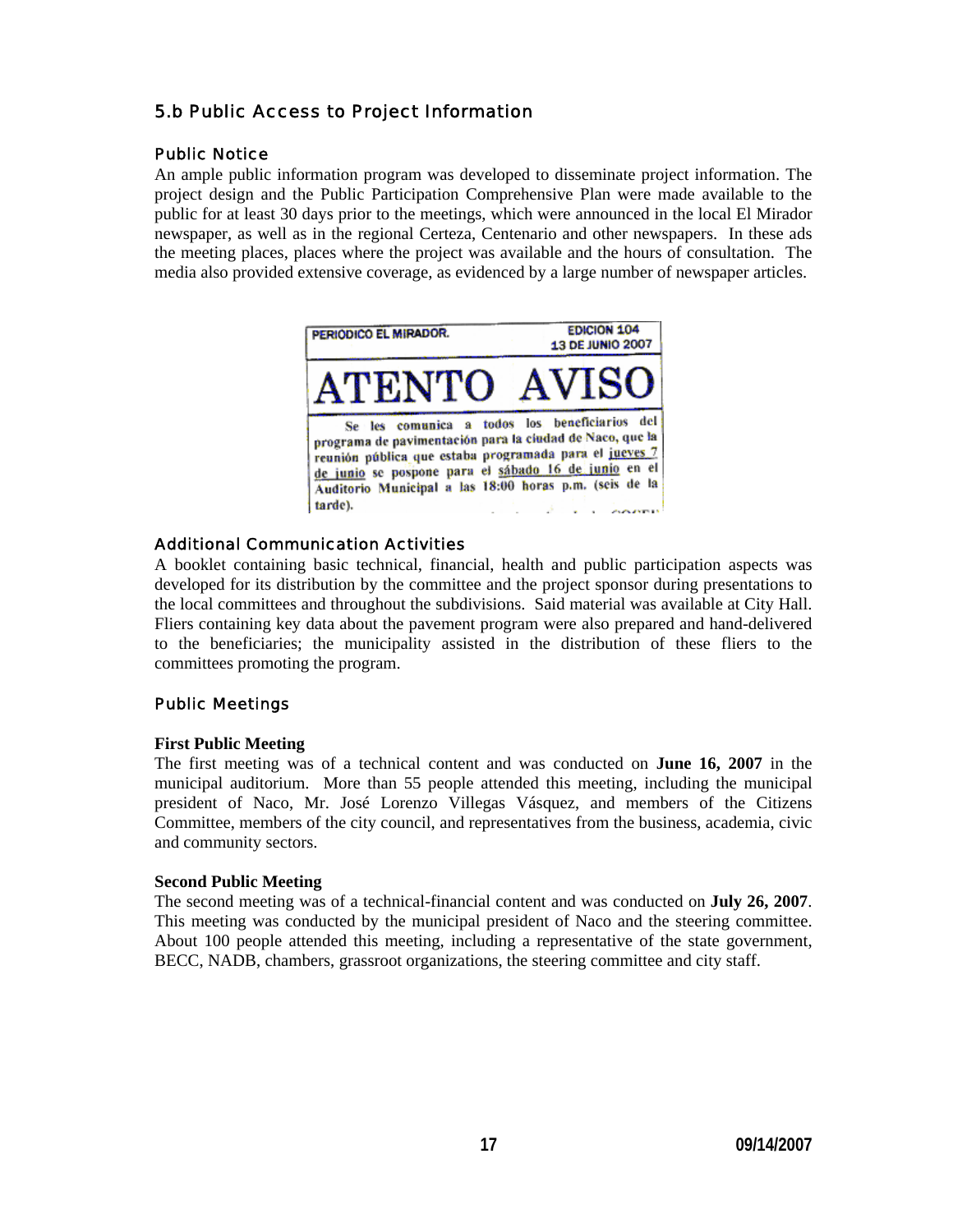## 5.b Public Access to Project Information

#### Public Notice

An ample public information program was developed to disseminate project information. The project design and the Public Participation Comprehensive Plan were made available to the public for at least 30 days prior to the meetings, which were announced in the local El Mirador newspaper, as well as in the regional Certeza, Centenario and other newspapers. In these ads the meeting places, places where the project was available and the hours of consultation. The media also provided extensive coverage, as evidenced by a large number of newspaper articles.



#### Additional Communication Activities

A booklet containing basic technical, financial, health and public participation aspects was developed for its distribution by the committee and the project sponsor during presentations to the local committees and throughout the subdivisions. Said material was available at City Hall. Fliers containing key data about the pavement program were also prepared and hand-delivered to the beneficiaries; the municipality assisted in the distribution of these fliers to the committees promoting the program.

## Public Meetings

#### **First Public Meeting**

The first meeting was of a technical content and was conducted on **June 16, 2007** in the municipal auditorium. More than 55 people attended this meeting, including the municipal president of Naco, Mr. José Lorenzo Villegas Vásquez, and members of the Citizens Committee, members of the city council, and representatives from the business, academia, civic and community sectors.

#### **Second Public Meeting**

The second meeting was of a technical-financial content and was conducted on **July 26, 2007**. This meeting was conducted by the municipal president of Naco and the steering committee. About 100 people attended this meeting, including a representative of the state government, BECC, NADB, chambers, grassroot organizations, the steering committee and city staff.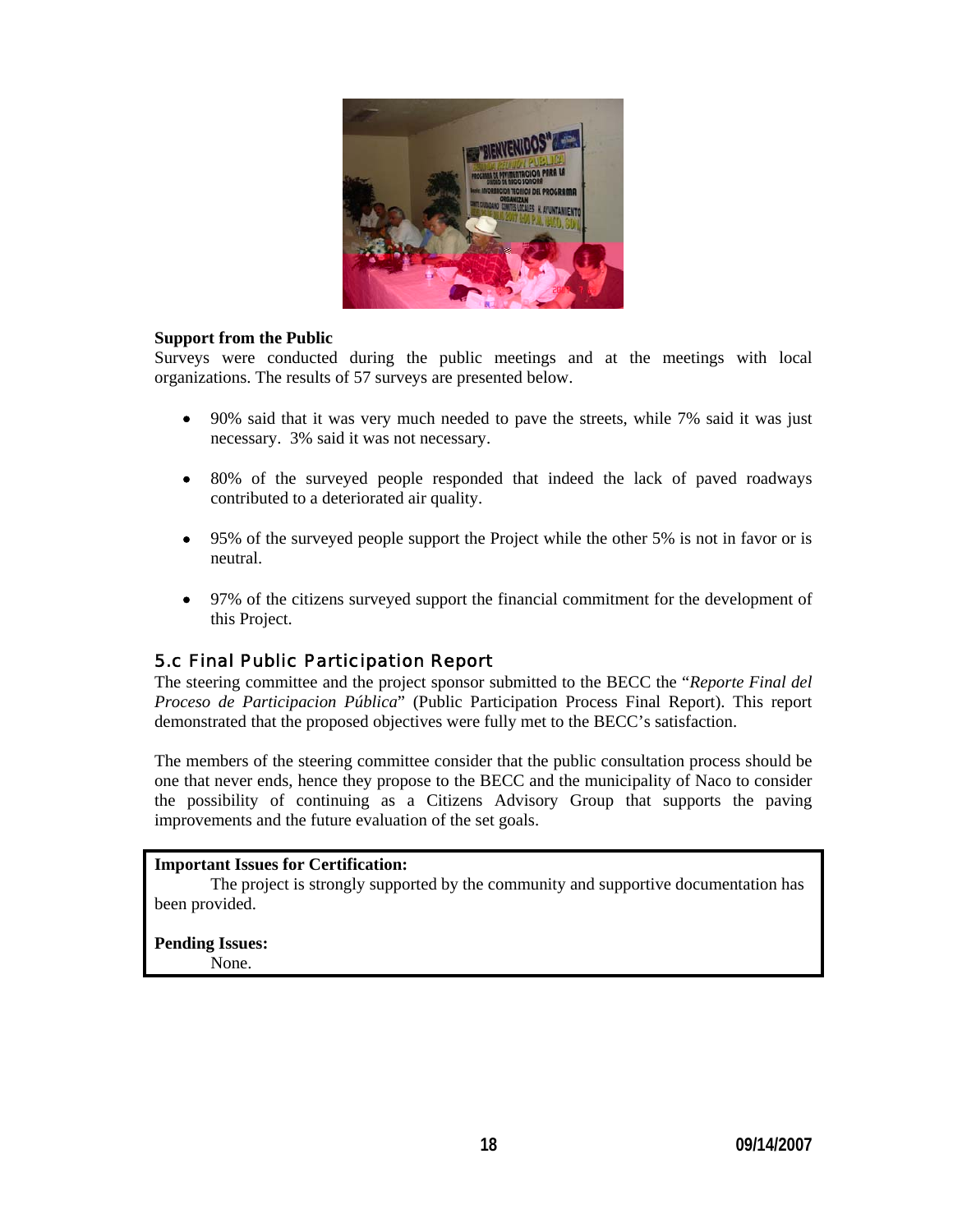

#### **Support from the Public**

Surveys were conducted during the public meetings and at the meetings with local organizations. The results of 57 surveys are presented below.

- 90% said that it was very much needed to pave the streets, while 7% said it was just necessary. 3% said it was not necessary.
- 80% of the surveyed people responded that indeed the lack of paved roadways contributed to a deteriorated air quality.
- 95% of the surveyed people support the Project while the other 5% is not in favor or is neutral.
- 97% of the citizens surveyed support the financial commitment for the development of this Project.

## 5.c Final Public Participation Report

The steering committee and the project sponsor submitted to the BECC the "*Reporte Final del Proceso de Participacion Pública*" (Public Participation Process Final Report). This report demonstrated that the proposed objectives were fully met to the BECC's satisfaction.

The members of the steering committee consider that the public consultation process should be one that never ends, hence they propose to the BECC and the municipality of Naco to consider the possibility of continuing as a Citizens Advisory Group that supports the paving improvements and the future evaluation of the set goals.

#### **Important Issues for Certification:**

The project is strongly supported by the community and supportive documentation has been provided.

#### **Pending Issues:**

None.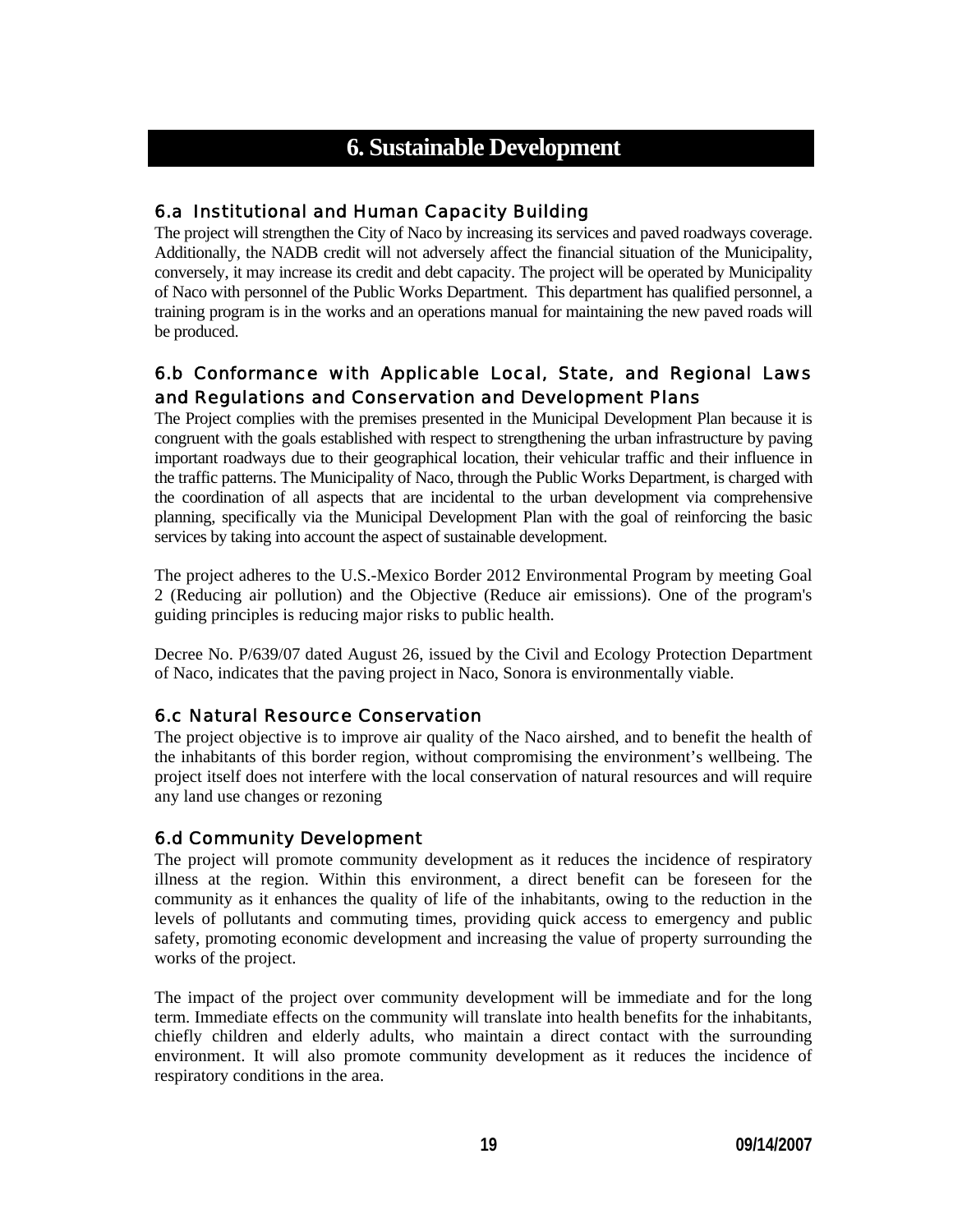## **6. Sustainable Development**

## 6.a Institutional and Human Capacity Building

The project will strengthen the City of Naco by increasing its services and paved roadways coverage. Additionally, the NADB credit will not adversely affect the financial situation of the Municipality, conversely, it may increase its credit and debt capacity. The project will be operated by Municipality of Naco with personnel of the Public Works Department. This department has qualified personnel, a training program is in the works and an operations manual for maintaining the new paved roads will be produced.

## 6.b Conformance with Applicable Local, State, and Regional Laws and Regulations and Conservation and Development Plans

The Project complies with the premises presented in the Municipal Development Plan because it is congruent with the goals established with respect to strengthening the urban infrastructure by paving important roadways due to their geographical location, their vehicular traffic and their influence in the traffic patterns. The Municipality of Naco, through the Public Works Department, is charged with the coordination of all aspects that are incidental to the urban development via comprehensive planning, specifically via the Municipal Development Plan with the goal of reinforcing the basic services by taking into account the aspect of sustainable development.

The project adheres to the U.S.-Mexico Border 2012 Environmental Program by meeting Goal 2 (Reducing air pollution) and the Objective (Reduce air emissions). One of the program's guiding principles is reducing major risks to public health.

Decree No. P/639/07 dated August 26, issued by the Civil and Ecology Protection Department of Naco, indicates that the paving project in Naco, Sonora is environmentally viable.

## 6.c Natural Resource Conservation

The project objective is to improve air quality of the Naco airshed, and to benefit the health of the inhabitants of this border region, without compromising the environment's wellbeing. The project itself does not interfere with the local conservation of natural resources and will require any land use changes or rezoning

## 6.d Community Development

The project will promote community development as it reduces the incidence of respiratory illness at the region. Within this environment, a direct benefit can be foreseen for the community as it enhances the quality of life of the inhabitants, owing to the reduction in the levels of pollutants and commuting times, providing quick access to emergency and public safety, promoting economic development and increasing the value of property surrounding the works of the project.

The impact of the project over community development will be immediate and for the long term. Immediate effects on the community will translate into health benefits for the inhabitants, chiefly children and elderly adults, who maintain a direct contact with the surrounding environment. It will also promote community development as it reduces the incidence of respiratory conditions in the area.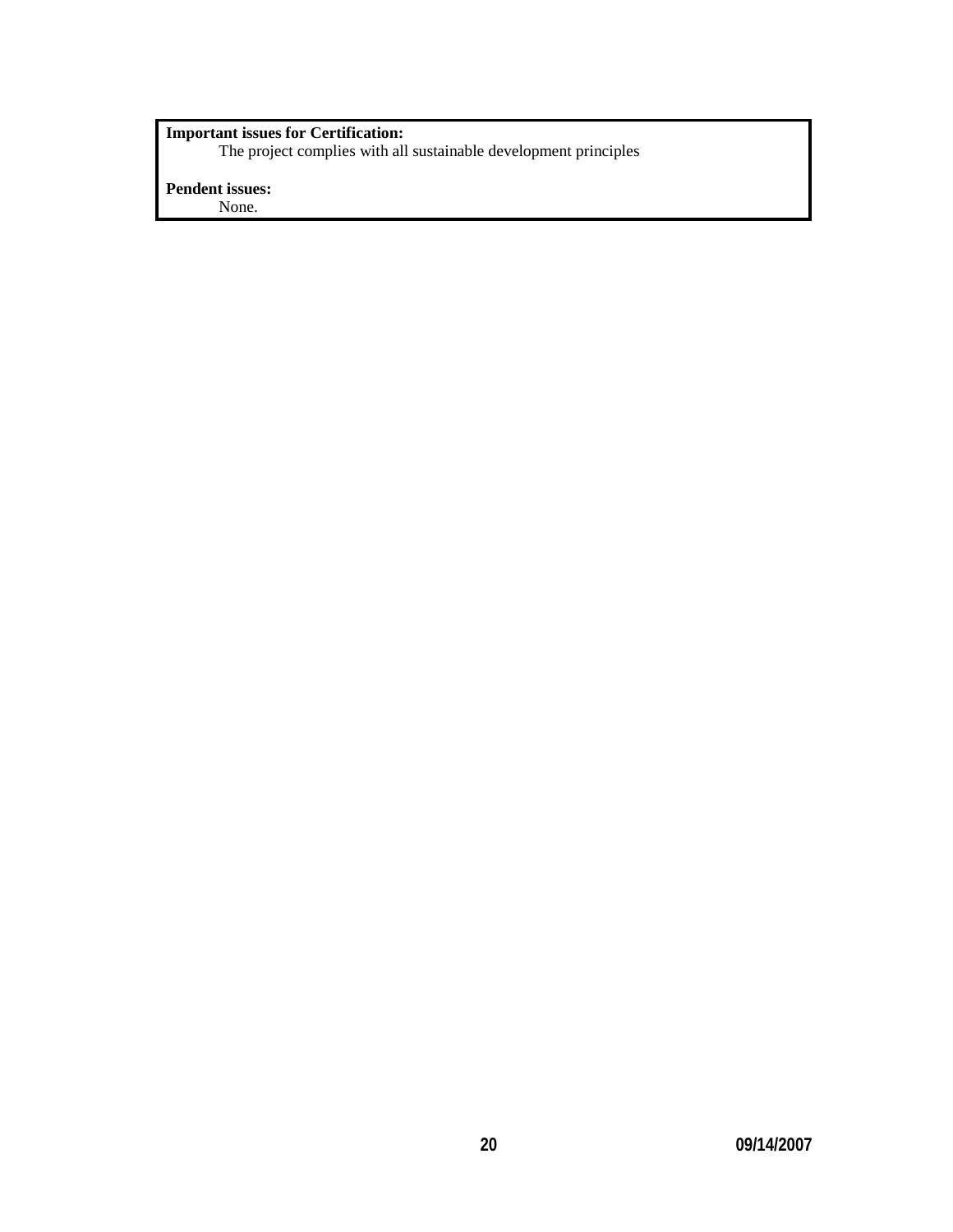#### **Important issues for Certification:**

The project complies with all sustainable development principles

## **Pendent issues:**

None.